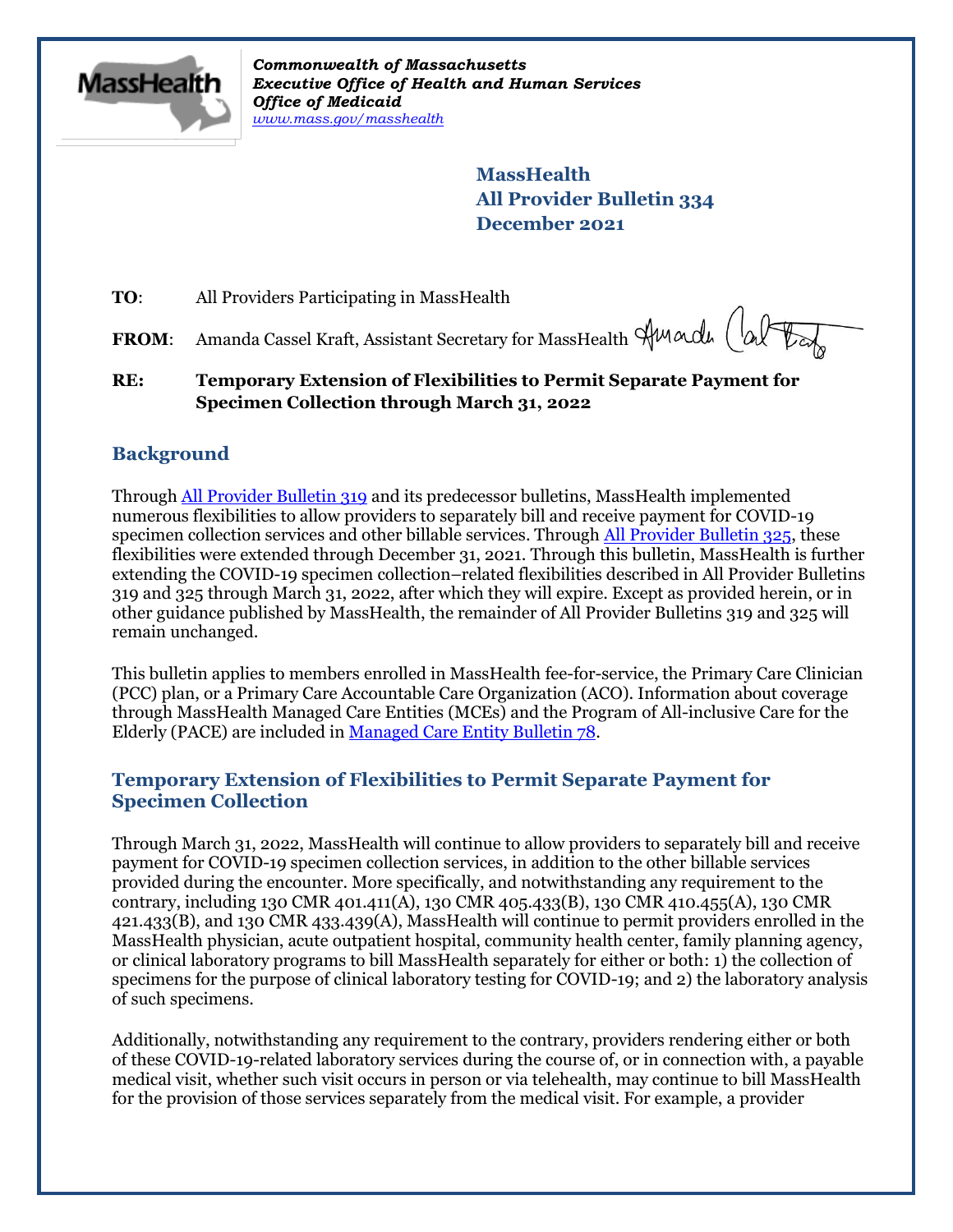

*Commonwealth of Massachusetts Executive Office of Health and Human Services Office of Medicaid [www.mass.gov/masshealth](http://www.mass.gov/masshealth)*

> **MassHealth All Provider Bulletin 334 December 2021**

**TO:** All Providers Participating in MassHealth

FROM: Amanda Cassel Kraft, Assistant Secretary for MassHealth Amarde (alter

**RE: Temporary Extension of Flexibilities to Permit Separate Payment for Specimen Collection through March 31, 2022**

# **Background**

Throug[h All Provider Bulletin 319](https://www.mass.gov/lists/all-provider-bulletins) and its predecessor bulletins, MassHealth implemented numerous flexibilities to allow providers to separately bill and receive payment for COVID-19 specimen collection services and other billable services. Through [All Provider Bulletin 325,](https://www.mass.gov/lists/all-provider-bulletins) these flexibilities were extended through December 31, 2021. Through this bulletin, MassHealth is further extending the COVID-19 specimen collection–related flexibilities described in All Provider Bulletins 319 and 325 through March 31, 2022, after which they will expire. Except as provided herein, or in other guidance published by MassHealth, the remainder of All Provider Bulletins 319 and 325 will remain unchanged.

This bulletin applies to members enrolled in MassHealth fee-for-service, the Primary Care Clinician (PCC) plan, or a Primary Care Accountable Care Organization (ACO). Information about coverage through MassHealth Managed Care Entities (MCEs) and the Program of All-inclusive Care for the Elderly (PACE) are included in [Managed Care Entity Bulletin 78.](https://www.mass.gov/lists/masshealth-provider-bulletins-by-provider-type-i-n#managed-care-entity-)

## **Temporary Extension of Flexibilities to Permit Separate Payment for Specimen Collection**

Through March 31, 2022, MassHealth will continue to allow providers to separately bill and receive payment for COVID-19 specimen collection services, in addition to the other billable services provided during the encounter. More specifically, and notwithstanding any requirement to the contrary, including 130 CMR 401.411(A), 130 CMR 405.433(B), 130 CMR 410.455(A), 130 CMR 421.433(B), and 130 CMR 433.439(A), MassHealth will continue to permit providers enrolled in the MassHealth physician, acute outpatient hospital, community health center, family planning agency, or clinical laboratory programs to bill MassHealth separately for either or both: 1) the collection of specimens for the purpose of clinical laboratory testing for COVID-19; and 2) the laboratory analysis of such specimens.

Additionally, notwithstanding any requirement to the contrary, providers rendering either or both of these COVID-19-related laboratory services during the course of, or in connection with, a payable medical visit, whether such visit occurs in person or via telehealth, may continue to bill MassHealth for the provision of those services separately from the medical visit. For example, a provider